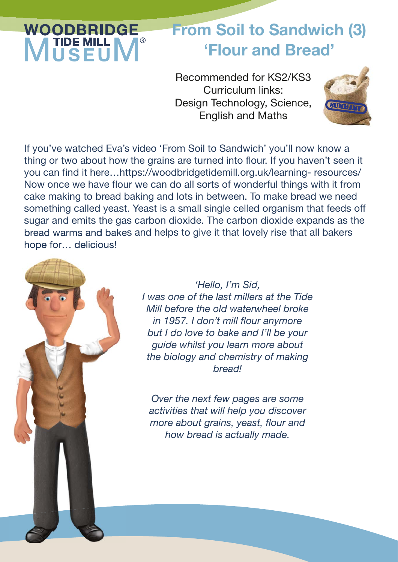# **WOODBRIDGE**

### From Soil to Sandwich (3) 'Flour and Bread'

Recommended for KS2/KS3 Curriculum links: Design Technology, Science, English and Maths



If you've watched Eva's video 'From Soil to Sandwich' you'll now know a thing or two about how the grains are turned into flour. If you haven't seen it you can find it here...https://woodbridgetidemill.org.uk/learning- resources/ Now once we have flour we can do all sorts of wonderful things with it from cake making to bread baking and lots in between. To make bread we need something called yeast. Yeast is a small single celled organism that feeds off sugar and emits the gas carbon dioxide. The carbon dioxide expands as the bread warms and bakes and helps to give it that lovely rise that all bakers hope for… delicious!



*'Hello, I'm Sid, I was one of the last millers at the Tide Mill before the old waterwheel broke in 1957. I don't mill flour anymore but I do love to bake and I'll be your guide whilst you learn more about the biology and chemistry of making bread!*

*Over the next few pages are some activities that will help you discover more about grains, yeast, flour and how bread is actually made.*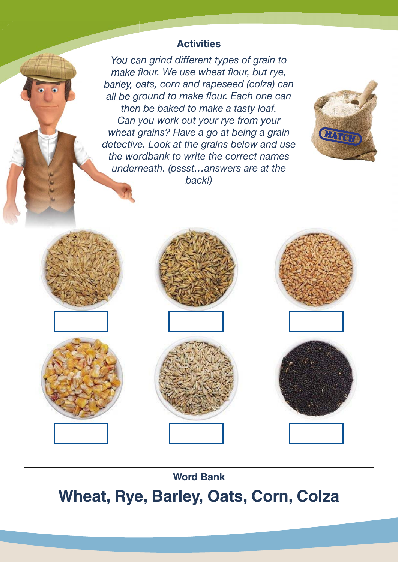#### **Activities**

*You can grind different types of grain to make flour. We use wheat flour, but rye, barley, oats, corn and rapeseed (colza) can all be ground to make flour. Each one can then be baked to make a tasty loaf. Can you work out your rye from your wheat grains? Have a go at being a grain detective. Look at the grains below and use the wordbank to write the correct names underneath. (pssst…answers are at the back!)*















**Word Bank**

**Wheat, Rye, Barley, Oats, Corn, Colza**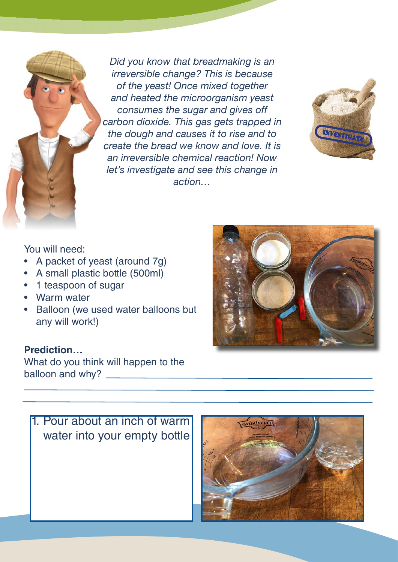*Did you know that breadmaking is an irreversible change? This is because of the yeast! Once mixed together and heated the microorganism yeast consumes the sugar and gives off carbon dioxide. This gas gets trapped in the dough and causes it to rise and to create the bread we know and love. It is an irreversible chemical reaction! Now let's investigate and see this change in action…*



You will need:

- A packet of yeast (around 7g)
- A small plastic bottle (500ml)
- 1 teaspoon of sugar
- Warm water
- Balloon (we used water balloons but any will work!)

#### **Prediction…**

What do you think will happen to the balloon and why?





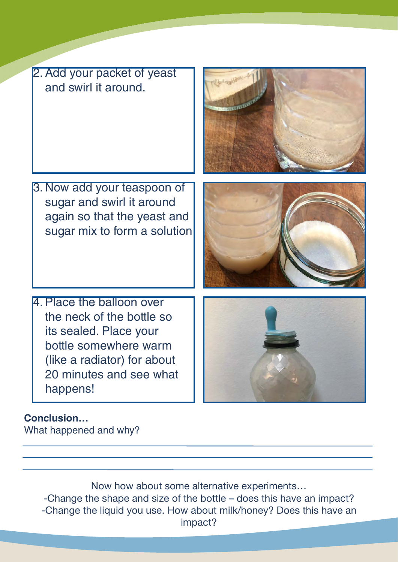2. Add your packet of yeast and swirl it around.

- 3. Now add your teaspoon of sugar and swirl it around again so that the yeast and sugar mix to form a solution
- 
- 4. Place the balloon over the neck of the bottle so its sealed. Place your bottle somewhere warm (like a radiator) for about 20 minutes and see what happens!



**Conclusion…** What happened and why?

> Now how about some alternative experiments… -Change the shape and size of the bottle – does this have an impact? -Change the liquid you use. How about milk/honey? Does this have an impact?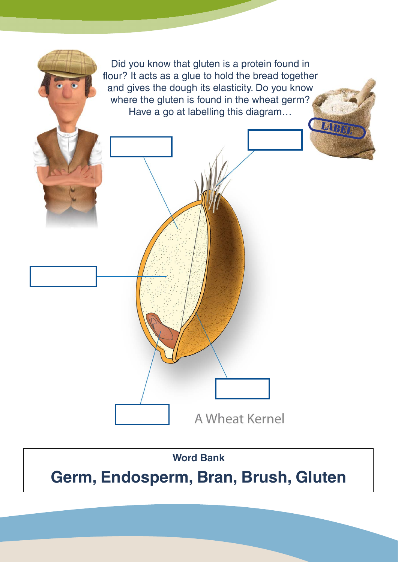

## **Germ, Endosperm, Bran, Brush, Gluten**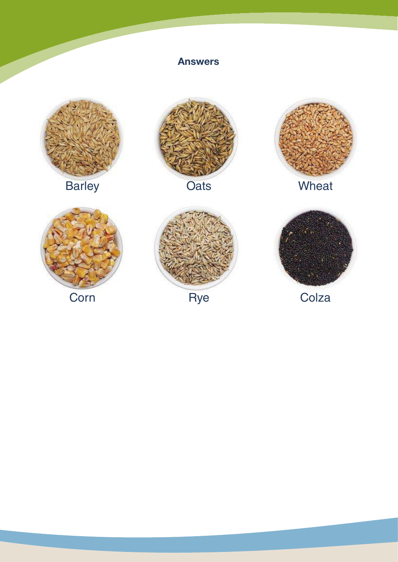

Answers

Corn Rye Colza